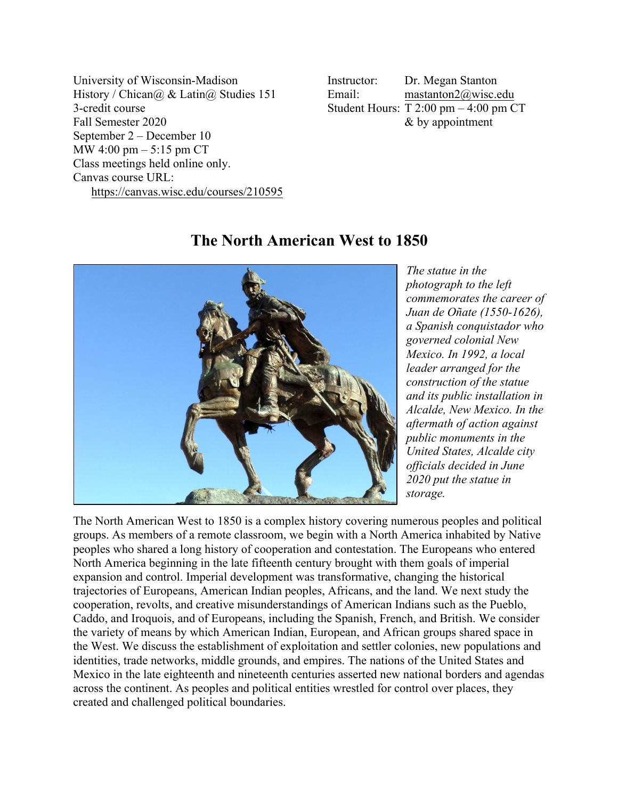University of Wisconsin-Madison History / Chican@ & Latin@ Studies 151 3-credit course Fall Semester 2020 September 2 – December 10 MW 4:00 pm – 5:15 pm CT Class meetings held online only. Canvas course URL: https://canvas.wisc.edu/courses/210595 Instructor: Email: Dr. Megan Stanton mastanton2@wisc.edu Student Hours: T 2:00 pm – 4:00 pm CT & by appointment

# **The North American West to 1850**



*The statue in the photograph to the left commemorates the career of Juan de Oñate (1550-1626), a Spanish conquistador who governed colonial New Mexico. In 1992, a local leader arranged for the construction of the statue and its public installation in Alcalde, New Mexico. In the aftermath of action against public monuments in the United States, Alcalde city officials decided in June 2020 put the statue in storage.*

The North American West to 1850 is a complex history covering numerous peoples and political groups. As members of a remote classroom, we begin with a North America inhabited by Native peoples who shared a long history of cooperation and contestation. The Europeans who entered North America beginning in the late fifteenth century brought with them goals of imperial expansion and control. Imperial development was transformative, changing the historical trajectories of Europeans, American Indian peoples, Africans, and the land. We next study the cooperation, revolts, and creative misunderstandings of American Indians such as the Pueblo, Caddo, and Iroquois, and of Europeans, including the Spanish, French, and British. We consider the variety of means by which American Indian, European, and African groups shared space in the West. We discuss the establishment of exploitation and settler colonies, new populations and identities, trade networks, middle grounds, and empires. The nations of the United States and Mexico in the late eighteenth and nineteenth centuries asserted new national borders and agendas across the continent. As peoples and political entities wrestled for control over places, they created and challenged political boundaries.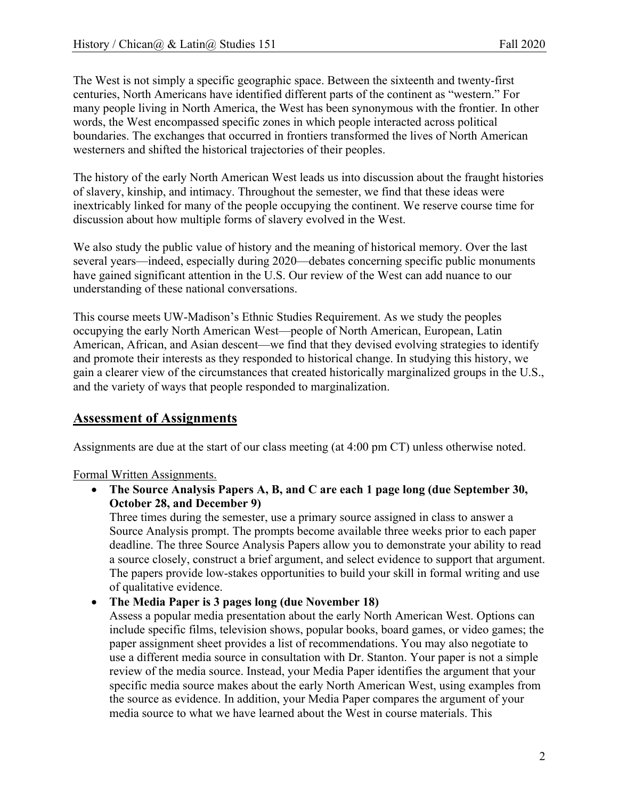The West is not simply a specific geographic space. Between the sixteenth and twenty-first centuries, North Americans have identified different parts of the continent as "western." For many people living in North America, the West has been synonymous with the frontier. In other words, the West encompassed specific zones in which people interacted across political boundaries. The exchanges that occurred in frontiers transformed the lives of North American westerners and shifted the historical trajectories of their peoples.

The history of the early North American West leads us into discussion about the fraught histories of slavery, kinship, and intimacy. Throughout the semester, we find that these ideas were inextricably linked for many of the people occupying the continent. We reserve course time for discussion about how multiple forms of slavery evolved in the West.

We also study the public value of history and the meaning of historical memory. Over the last several years—indeed, especially during 2020—debates concerning specific public monuments have gained significant attention in the U.S. Our review of the West can add nuance to our understanding of these national conversations.

This course meets UW-Madison's Ethnic Studies Requirement. As we study the peoples occupying the early North American West—people of North American, European, Latin American, African, and Asian descent—we find that they devised evolving strategies to identify and promote their interests as they responded to historical change. In studying this history, we gain a clearer view of the circumstances that created historically marginalized groups in the U.S., and the variety of ways that people responded to marginalization.

### **Assessment of Assignments**

Assignments are due at the start of our class meeting (at 4:00 pm CT) unless otherwise noted.

Formal Written Assignments.

• **The Source Analysis Papers A, B, and C are each 1 page long (due September 30, October 28, and December 9)**

Three times during the semester, use a primary source assigned in class to answer a Source Analysis prompt. The prompts become available three weeks prior to each paper deadline. The three Source Analysis Papers allow you to demonstrate your ability to read a source closely, construct a brief argument, and select evidence to support that argument. The papers provide low-stakes opportunities to build your skill in formal writing and use of qualitative evidence.

### • **The Media Paper is 3 pages long (due November 18)**

Assess a popular media presentation about the early North American West. Options can include specific films, television shows, popular books, board games, or video games; the paper assignment sheet provides a list of recommendations. You may also negotiate to use a different media source in consultation with Dr. Stanton. Your paper is not a simple review of the media source. Instead, your Media Paper identifies the argument that your specific media source makes about the early North American West, using examples from the source as evidence. In addition, your Media Paper compares the argument of your media source to what we have learned about the West in course materials. This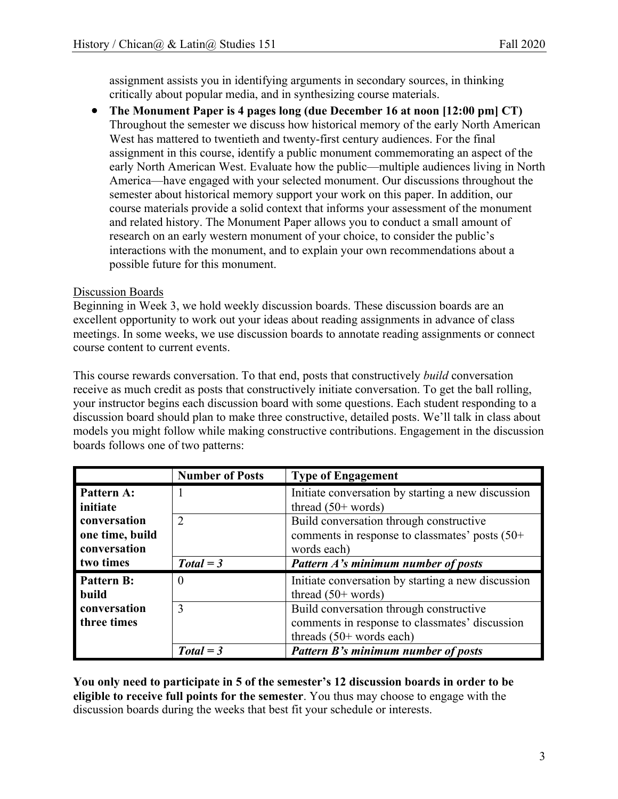assignment assists you in identifying arguments in secondary sources, in thinking critically about popular media, and in synthesizing course materials.

• **The Monument Paper is 4 pages long (due December 16 at noon [12:00 pm] CT)** Throughout the semester we discuss how historical memory of the early North American West has mattered to twentieth and twenty-first century audiences. For the final assignment in this course, identify a public monument commemorating an aspect of the early North American West. Evaluate how the public—multiple audiences living in North America—have engaged with your selected monument. Our discussions throughout the semester about historical memory support your work on this paper. In addition, our course materials provide a solid context that informs your assessment of the monument and related history. The Monument Paper allows you to conduct a small amount of research on an early western monument of your choice, to consider the public's interactions with the monument, and to explain your own recommendations about a possible future for this monument.

### Discussion Boards

Beginning in Week 3, we hold weekly discussion boards. These discussion boards are an excellent opportunity to work out your ideas about reading assignments in advance of class meetings. In some weeks, we use discussion boards to annotate reading assignments or connect course content to current events.

This course rewards conversation. To that end, posts that constructively *build* conversation receive as much credit as posts that constructively initiate conversation. To get the ball rolling, your instructor begins each discussion board with some questions. Each student responding to a discussion board should plan to make three constructive, detailed posts. We'll talk in class about models you might follow while making constructive contributions. Engagement in the discussion boards follows one of two patterns:

|                   | <b>Number of Posts</b> | <b>Type of Engagement</b>                          |
|-------------------|------------------------|----------------------------------------------------|
| Pattern A:        |                        | Initiate conversation by starting a new discussion |
| initiate          |                        | thread $(50+words)$                                |
| conversation      | $\mathcal{L}$          | Build conversation through constructive            |
| one time, build   |                        | comments in response to classmates' posts (50+     |
| conversation      |                        | words each)                                        |
| two times         | $Total = 3$            | Pattern A's minimum number of posts                |
| <b>Pattern B:</b> | $\cup$                 | Initiate conversation by starting a new discussion |
| build             |                        | thread $(50+$ words)                               |
| conversation      | $\mathcal{R}$          | Build conversation through constructive            |
| three times       |                        | comments in response to classmates' discussion     |
|                   |                        | threads $(50+$ words each)                         |
|                   | $Total = 3$            | Pattern B's minimum number of posts                |

**You only need to participate in 5 of the semester's 12 discussion boards in order to be eligible to receive full points for the semester**. You thus may choose to engage with the discussion boards during the weeks that best fit your schedule or interests.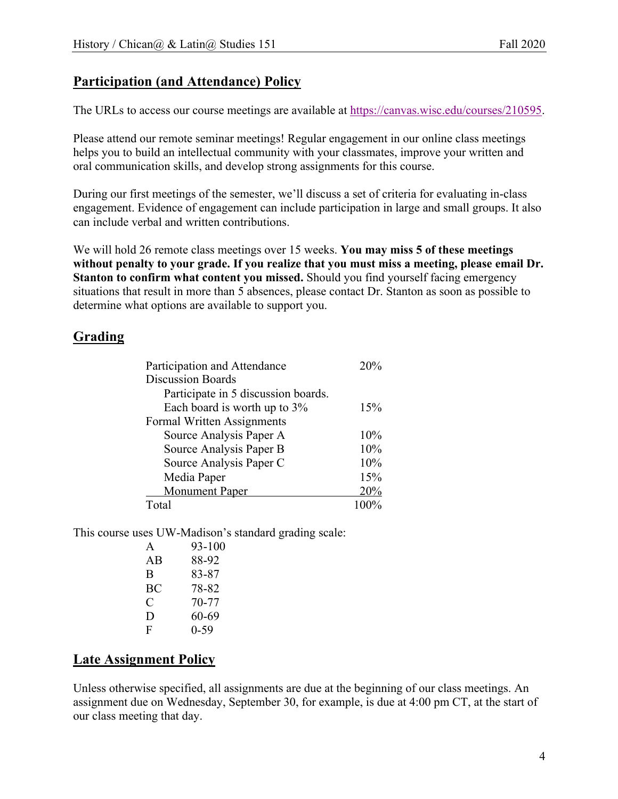# **Participation (and Attendance) Policy**

The URLs to access our course meetings are available at https://canvas.wisc.edu/courses/210595.

Please attend our remote seminar meetings! Regular engagement in our online class meetings helps you to build an intellectual community with your classmates, improve your written and oral communication skills, and develop strong assignments for this course.

During our first meetings of the semester, we'll discuss a set of criteria for evaluating in-class engagement. Evidence of engagement can include participation in large and small groups. It also can include verbal and written contributions.

We will hold 26 remote class meetings over 15 weeks. **You may miss 5 of these meetings without penalty to your grade. If you realize that you must miss a meeting, please email Dr. Stanton to confirm what content you missed.** Should you find yourself facing emergency situations that result in more than 5 absences, please contact Dr. Stanton as soon as possible to determine what options are available to support you.

## **Grading**

| Participation and Attendance        | 20% |
|-------------------------------------|-----|
| <b>Discussion Boards</b>            |     |
| Participate in 5 discussion boards. |     |
| Each board is worth up to 3%        | 15% |
| Formal Written Assignments          |     |
| Source Analysis Paper A             | 10% |
| Source Analysis Paper B             | 10% |
| Source Analysis Paper C             | 10% |
| Media Paper                         | 15% |
| Monument Paper                      | 20% |
| Total                               |     |

This course uses UW-Madison's standard grading scale:

| A  | 93-100   |
|----|----------|
| AВ | 88-92    |
| B  | 83-87    |
| ВC | 78-82    |
| C  | 70-77    |
| D  | 60-69    |
| F  | $0 - 59$ |
|    |          |

# **Late Assignment Policy**

Unless otherwise specified, all assignments are due at the beginning of our class meetings. An assignment due on Wednesday, September 30, for example, is due at 4:00 pm CT, at the start of our class meeting that day.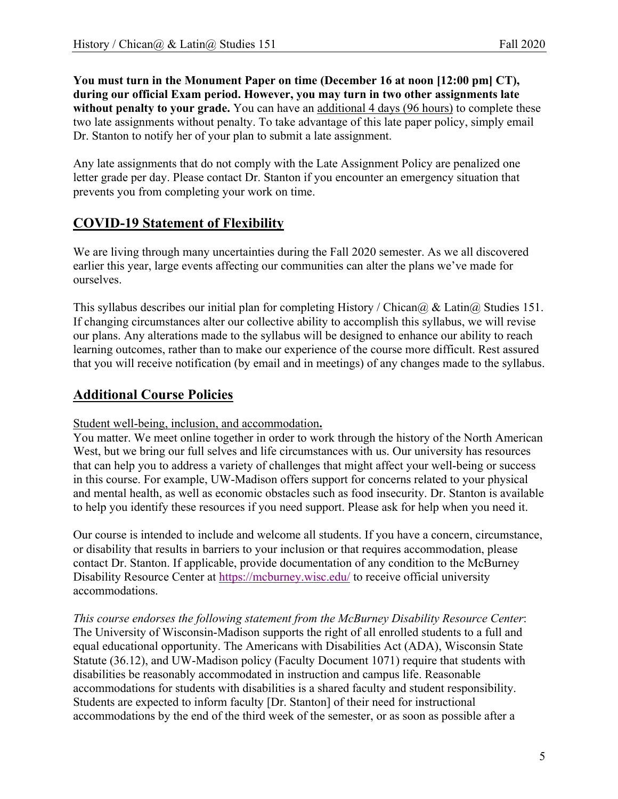**You must turn in the Monument Paper on time (December 16 at noon [12:00 pm] CT), during our official Exam period. However, you may turn in two other assignments late without penalty to your grade.** You can have an additional 4 days (96 hours) to complete these two late assignments without penalty. To take advantage of this late paper policy, simply email Dr. Stanton to notify her of your plan to submit a late assignment.

Any late assignments that do not comply with the Late Assignment Policy are penalized one letter grade per day. Please contact Dr. Stanton if you encounter an emergency situation that prevents you from completing your work on time.

# **COVID-19 Statement of Flexibility**

We are living through many uncertainties during the Fall 2020 semester. As we all discovered earlier this year, large events affecting our communities can alter the plans we've made for ourselves.

This syllabus describes our initial plan for completing History / Chican $\omega$  & Latin $\omega$  Studies 151. If changing circumstances alter our collective ability to accomplish this syllabus, we will revise our plans. Any alterations made to the syllabus will be designed to enhance our ability to reach learning outcomes, rather than to make our experience of the course more difficult. Rest assured that you will receive notification (by email and in meetings) of any changes made to the syllabus.

# **Additional Course Policies**

### Student well-being, inclusion, and accommodation**.**

You matter. We meet online together in order to work through the history of the North American West, but we bring our full selves and life circumstances with us. Our university has resources that can help you to address a variety of challenges that might affect your well-being or success in this course. For example, UW-Madison offers support for concerns related to your physical and mental health, as well as economic obstacles such as food insecurity. Dr. Stanton is available to help you identify these resources if you need support. Please ask for help when you need it.

Our course is intended to include and welcome all students. If you have a concern, circumstance, or disability that results in barriers to your inclusion or that requires accommodation, please contact Dr. Stanton. If applicable, provide documentation of any condition to the McBurney Disability Resource Center at https://mcburney.wisc.edu/ to receive official university accommodations.

*This course endorses the following statement from the McBurney Disability Resource Center*: The University of Wisconsin-Madison supports the right of all enrolled students to a full and equal educational opportunity. The Americans with Disabilities Act (ADA), Wisconsin State Statute (36.12), and UW-Madison policy (Faculty Document 1071) require that students with disabilities be reasonably accommodated in instruction and campus life. Reasonable accommodations for students with disabilities is a shared faculty and student responsibility. Students are expected to inform faculty [Dr. Stanton] of their need for instructional accommodations by the end of the third week of the semester, or as soon as possible after a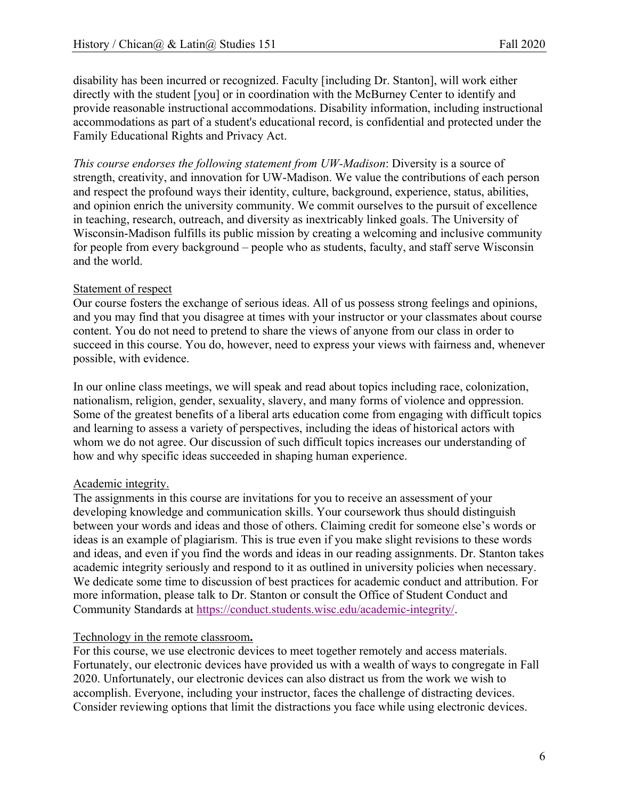disability has been incurred or recognized. Faculty [including Dr. Stanton], will work either directly with the student [you] or in coordination with the McBurney Center to identify and provide reasonable instructional accommodations. Disability information, including instructional accommodations as part of a student's educational record, is confidential and protected under the Family Educational Rights and Privacy Act.

*This course endorses the following statement from UW-Madison*: Diversity is a source of strength, creativity, and innovation for UW-Madison. We value the contributions of each person and respect the profound ways their identity, culture, background, experience, status, abilities, and opinion enrich the university community. We commit ourselves to the pursuit of excellence in teaching, research, outreach, and diversity as inextricably linked goals. The University of Wisconsin-Madison fulfills its public mission by creating a welcoming and inclusive community for people from every background – people who as students, faculty, and staff serve Wisconsin and the world.

#### Statement of respect

Our course fosters the exchange of serious ideas. All of us possess strong feelings and opinions, and you may find that you disagree at times with your instructor or your classmates about course content. You do not need to pretend to share the views of anyone from our class in order to succeed in this course. You do, however, need to express your views with fairness and, whenever possible, with evidence.

In our online class meetings, we will speak and read about topics including race, colonization, nationalism, religion, gender, sexuality, slavery, and many forms of violence and oppression. Some of the greatest benefits of a liberal arts education come from engaging with difficult topics and learning to assess a variety of perspectives, including the ideas of historical actors with whom we do not agree. Our discussion of such difficult topics increases our understanding of how and why specific ideas succeeded in shaping human experience.

#### Academic integrity.

The assignments in this course are invitations for you to receive an assessment of your developing knowledge and communication skills. Your coursework thus should distinguish between your words and ideas and those of others. Claiming credit for someone else's words or ideas is an example of plagiarism. This is true even if you make slight revisions to these words and ideas, and even if you find the words and ideas in our reading assignments. Dr. Stanton takes academic integrity seriously and respond to it as outlined in university policies when necessary. We dedicate some time to discussion of best practices for academic conduct and attribution. For more information, please talk to Dr. Stanton or consult the Office of Student Conduct and Community Standards at https://conduct.students.wisc.edu/academic-integrity/.

#### Technology in the remote classroom**.**

For this course, we use electronic devices to meet together remotely and access materials. Fortunately, our electronic devices have provided us with a wealth of ways to congregate in Fall 2020. Unfortunately, our electronic devices can also distract us from the work we wish to accomplish. Everyone, including your instructor, faces the challenge of distracting devices. Consider reviewing options that limit the distractions you face while using electronic devices.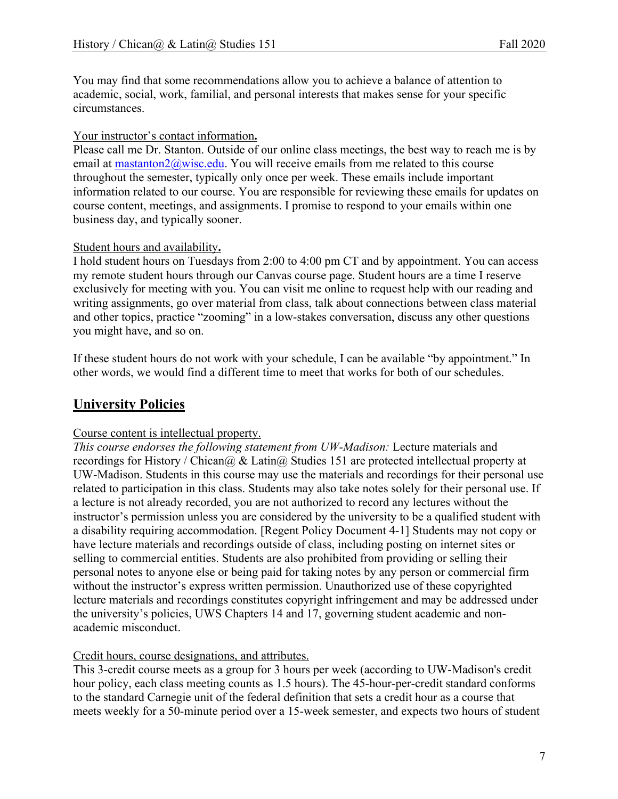You may find that some recommendations allow you to achieve a balance of attention to academic, social, work, familial, and personal interests that makes sense for your specific circumstances.

### Your instructor's contact information**.**

Please call me Dr. Stanton. Outside of our online class meetings, the best way to reach me is by email at mastanton2@wisc.edu. You will receive emails from me related to this course throughout the semester, typically only once per week. These emails include important information related to our course. You are responsible for reviewing these emails for updates on course content, meetings, and assignments. I promise to respond to your emails within one business day, and typically sooner.

### Student hours and availability**.**

I hold student hours on Tuesdays from 2:00 to 4:00 pm CT and by appointment. You can access my remote student hours through our Canvas course page. Student hours are a time I reserve exclusively for meeting with you. You can visit me online to request help with our reading and writing assignments, go over material from class, talk about connections between class material and other topics, practice "zooming" in a low-stakes conversation, discuss any other questions you might have, and so on.

If these student hours do not work with your schedule, I can be available "by appointment." In other words, we would find a different time to meet that works for both of our schedules.

# **University Policies**

### Course content is intellectual property.

*This course endorses the following statement from UW-Madison:* Lecture materials and recordings for History / Chican $@$  & Latin $@$  Studies 151 are protected intellectual property at UW-Madison. Students in this course may use the materials and recordings for their personal use related to participation in this class. Students may also take notes solely for their personal use. If a lecture is not already recorded, you are not authorized to record any lectures without the instructor's permission unless you are considered by the university to be a qualified student with a disability requiring accommodation. [Regent Policy Document 4-1] Students may not copy or have lecture materials and recordings outside of class, including posting on internet sites or selling to commercial entities. Students are also prohibited from providing or selling their personal notes to anyone else or being paid for taking notes by any person or commercial firm without the instructor's express written permission. Unauthorized use of these copyrighted lecture materials and recordings constitutes copyright infringement and may be addressed under the university's policies, UWS Chapters 14 and 17, governing student academic and nonacademic misconduct.

### Credit hours, course designations, and attributes.

This 3-credit course meets as a group for 3 hours per week (according to UW-Madison's credit hour policy, each class meeting counts as 1.5 hours). The 45-hour-per-credit standard conforms to the standard Carnegie unit of the federal definition that sets a credit hour as a course that meets weekly for a 50-minute period over a 15-week semester, and expects two hours of student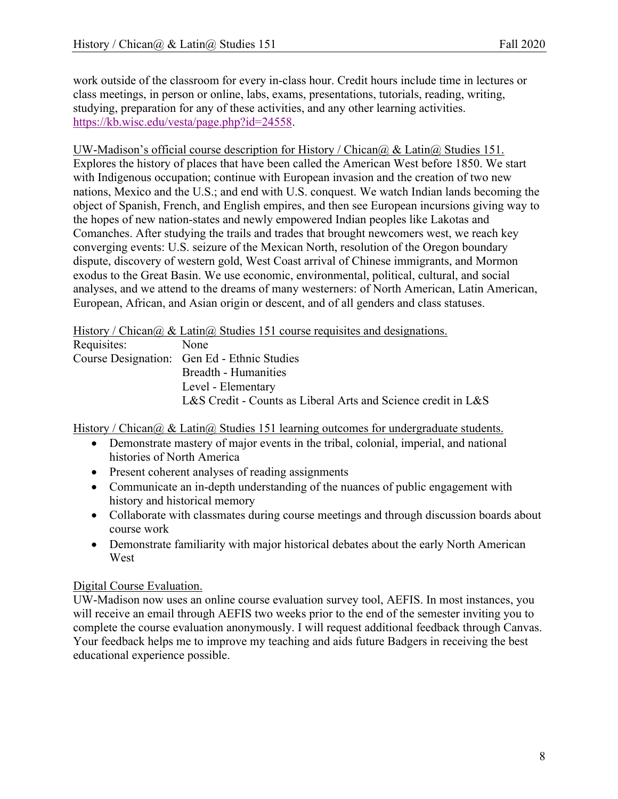work outside of the classroom for every in-class hour. Credit hours include time in lectures or class meetings, in person or online, labs, exams, presentations, tutorials, reading, writing, studying, preparation for any of these activities, and any other learning activities. https://kb.wisc.edu/vesta/page.php?id=24558.

#### UW-Madison's official course description for History / Chican $\omega$  & Latin $\omega$  Studies 151.

Explores the history of places that have been called the American West before 1850. We start with Indigenous occupation; continue with European invasion and the creation of two new nations, Mexico and the U.S.; and end with U.S. conquest. We watch Indian lands becoming the object of Spanish, French, and English empires, and then see European incursions giving way to the hopes of new nation-states and newly empowered Indian peoples like Lakotas and Comanches. After studying the trails and trades that brought newcomers west, we reach key converging events: U.S. seizure of the Mexican North, resolution of the Oregon boundary dispute, discovery of western gold, West Coast arrival of Chinese immigrants, and Mormon exodus to the Great Basin. We use economic, environmental, political, cultural, and social analyses, and we attend to the dreams of many westerners: of North American, Latin American, European, African, and Asian origin or descent, and of all genders and class statuses.

History / Chican $\omega \&$  Latin $\omega$  Studies 151 course requisites and designations.

| Requisites: | None                                                          |
|-------------|---------------------------------------------------------------|
|             | Course Designation: Gen Ed - Ethnic Studies                   |
|             | Breadth - Humanities                                          |
|             | Level - Elementary                                            |
|             | L&S Credit - Counts as Liberal Arts and Science credit in L&S |

History / Chican $\omega \&$  Latin $\omega$  Studies 151 learning outcomes for undergraduate students.

- Demonstrate mastery of major events in the tribal, colonial, imperial, and national histories of North America
- Present coherent analyses of reading assignments
- Communicate an in-depth understanding of the nuances of public engagement with history and historical memory
- Collaborate with classmates during course meetings and through discussion boards about course work
- Demonstrate familiarity with major historical debates about the early North American West

### Digital Course Evaluation.

UW-Madison now uses an online course evaluation survey tool, AEFIS. In most instances, you will receive an email through AEFIS two weeks prior to the end of the semester inviting you to complete the course evaluation anonymously. I will request additional feedback through Canvas. Your feedback helps me to improve my teaching and aids future Badgers in receiving the best educational experience possible.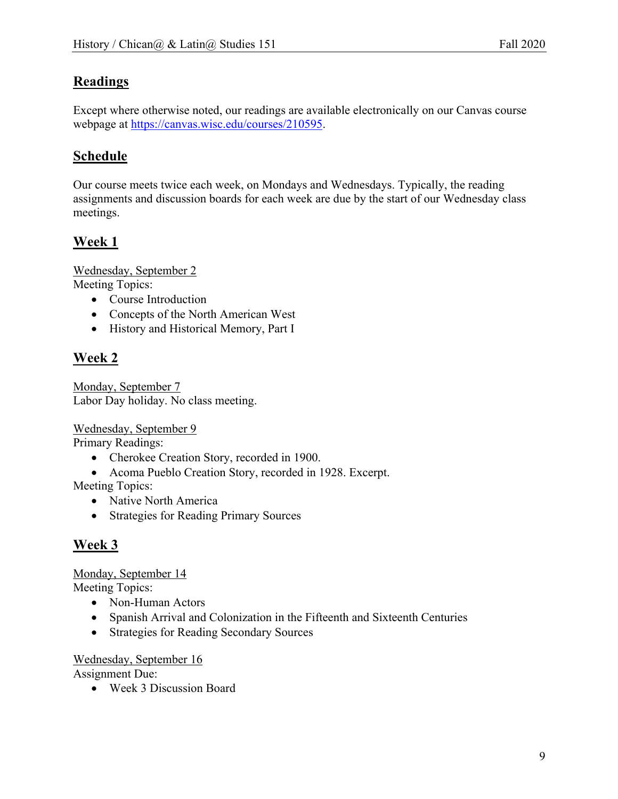# **Readings**

Except where otherwise noted, our readings are available electronically on our Canvas course webpage at https://canvas.wisc.edu/courses/210595.

# **Schedule**

Our course meets twice each week, on Mondays and Wednesdays. Typically, the reading assignments and discussion boards for each week are due by the start of our Wednesday class meetings.

# **Week 1**

Wednesday, September 2 Meeting Topics:

- Course Introduction
- Concepts of the North American West
- History and Historical Memory, Part I

# **Week 2**

Monday, September 7 Labor Day holiday. No class meeting.

Wednesday, September 9

Primary Readings:

- Cherokee Creation Story, recorded in 1900.
- Acoma Pueblo Creation Story, recorded in 1928. Excerpt.

Meeting Topics:

- Native North America
- Strategies for Reading Primary Sources

# **Week 3**

### Monday, September 14

Meeting Topics:

- Non-Human Actors
- Spanish Arrival and Colonization in the Fifteenth and Sixteenth Centuries
- Strategies for Reading Secondary Sources

### Wednesday, September 16

Assignment Due:

• Week 3 Discussion Board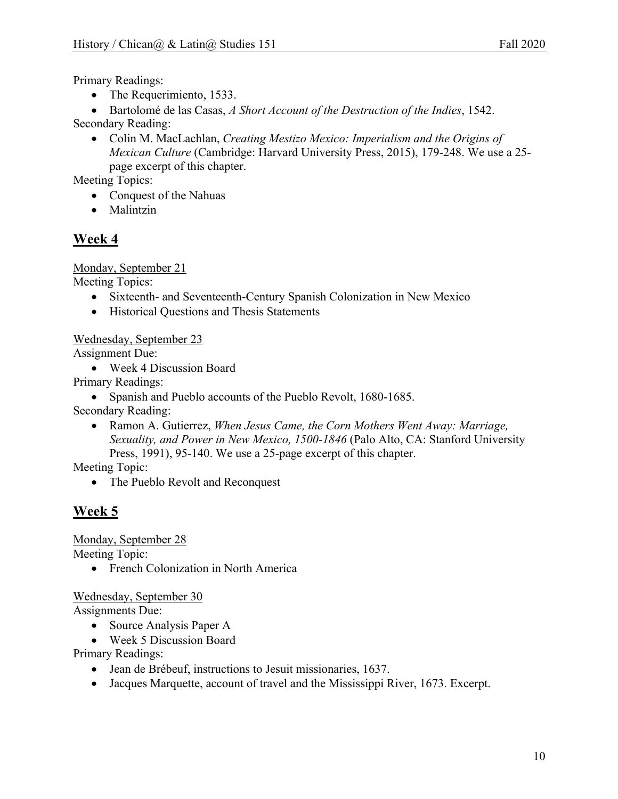Primary Readings:

• The Requerimiento, 1533.

• Bartolomé de las Casas, *A Short Account of the Destruction of the Indies*, 1542. Secondary Reading:

• Colin M. MacLachlan, *Creating Mestizo Mexico: Imperialism and the Origins of Mexican Culture* (Cambridge: Harvard University Press, 2015), 179-248. We use a 25 page excerpt of this chapter.

Meeting Topics:

- Conquest of the Nahuas
- Malintzin

### **Week 4**

Monday, September 21

Meeting Topics:

- Sixteenth- and Seventeenth-Century Spanish Colonization in New Mexico
- Historical Questions and Thesis Statements

Wednesday, September 23

Assignment Due:

• Week 4 Discussion Board

Primary Readings:

• Spanish and Pueblo accounts of the Pueblo Revolt, 1680-1685.

Secondary Reading:

• Ramon A. Gutierrez, *When Jesus Came, the Corn Mothers Went Away: Marriage, Sexuality, and Power in New Mexico, 1500-1846* (Palo Alto, CA: Stanford University Press, 1991), 95-140. We use a 25-page excerpt of this chapter.

Meeting Topic:

• The Pueblo Revolt and Reconquest

### **Week 5**

Monday, September 28

Meeting Topic:

• French Colonization in North America

Wednesday, September 30

Assignments Due:

- Source Analysis Paper A
- Week 5 Discussion Board

Primary Readings:

- Jean de Brébeuf, instructions to Jesuit missionaries, 1637.
- Jacques Marquette, account of travel and the Mississippi River, 1673. Excerpt.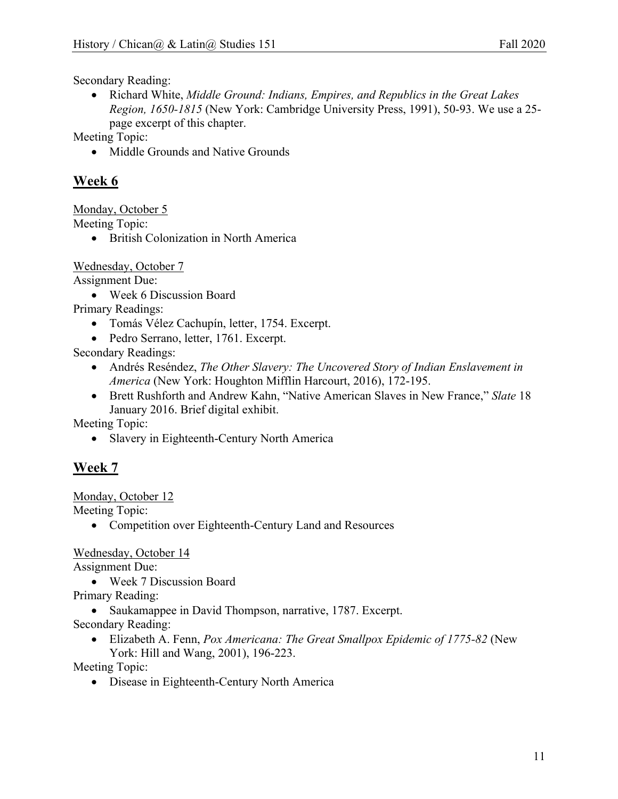Secondary Reading:

• Richard White, *Middle Ground: Indians, Empires, and Republics in the Great Lakes Region, 1650-1815* (New York: Cambridge University Press, 1991), 50-93. We use a 25 page excerpt of this chapter.

Meeting Topic:

• Middle Grounds and Native Grounds

### **Week 6**

Monday, October 5

Meeting Topic:

• British Colonization in North America

Wednesday, October 7

Assignment Due:

• Week 6 Discussion Board

Primary Readings:

- Tomás Vélez Cachupín, letter, 1754. Excerpt.
- Pedro Serrano, letter, 1761. Excerpt.

Secondary Readings:

- Andrés Reséndez, *The Other Slavery: The Uncovered Story of Indian Enslavement in America* (New York: Houghton Mifflin Harcourt, 2016), 172-195.
- Brett Rushforth and Andrew Kahn, "Native American Slaves in New France," *Slate* 18 January 2016. Brief digital exhibit.

Meeting Topic:

• Slavery in Eighteenth-Century North America

# **Week 7**

Monday, October 12

Meeting Topic:

• Competition over Eighteenth-Century Land and Resources

Wednesday, October 14

Assignment Due:

• Week 7 Discussion Board

Primary Reading:

• Saukamappee in David Thompson, narrative, 1787. Excerpt. Secondary Reading:

• Elizabeth A. Fenn, *Pox Americana: The Great Smallpox Epidemic of 1775-82* (New York: Hill and Wang, 2001), 196-223.

Meeting Topic:

• Disease in Eighteenth-Century North America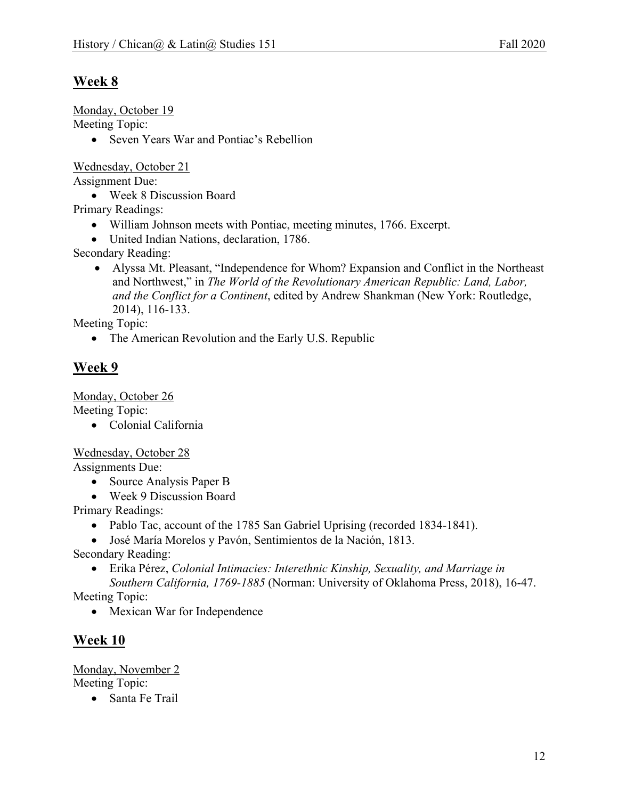# **Week 8**

Monday, October 19

Meeting Topic:

• Seven Years War and Pontiac's Rebellion

Wednesday, October 21

Assignment Due:

• Week 8 Discussion Board

Primary Readings:

- William Johnson meets with Pontiac, meeting minutes, 1766. Excerpt.
- United Indian Nations, declaration, 1786.

Secondary Reading:

• Alyssa Mt. Pleasant, "Independence for Whom? Expansion and Conflict in the Northeast and Northwest," in *The World of the Revolutionary American Republic: Land, Labor, and the Conflict for a Continent*, edited by Andrew Shankman (New York: Routledge, 2014), 116-133.

Meeting Topic:

• The American Revolution and the Early U.S. Republic

# **Week 9**

Monday, October 26

Meeting Topic:

• Colonial California

Wednesday, October 28

Assignments Due:

- Source Analysis Paper B
- Week 9 Discussion Board

Primary Readings:

- Pablo Tac, account of the 1785 San Gabriel Uprising (recorded 1834-1841).
- José María Morelos y Pavón, Sentimientos de la Nación, 1813.

Secondary Reading:

• Erika Pérez, *Colonial Intimacies: Interethnic Kinship, Sexuality, and Marriage in Southern California, 1769-1885* (Norman: University of Oklahoma Press, 2018), 16-47.

Meeting Topic:

• Mexican War for Independence

# **Week 10**

Monday, November 2 Meeting Topic:

• Santa Fe Trail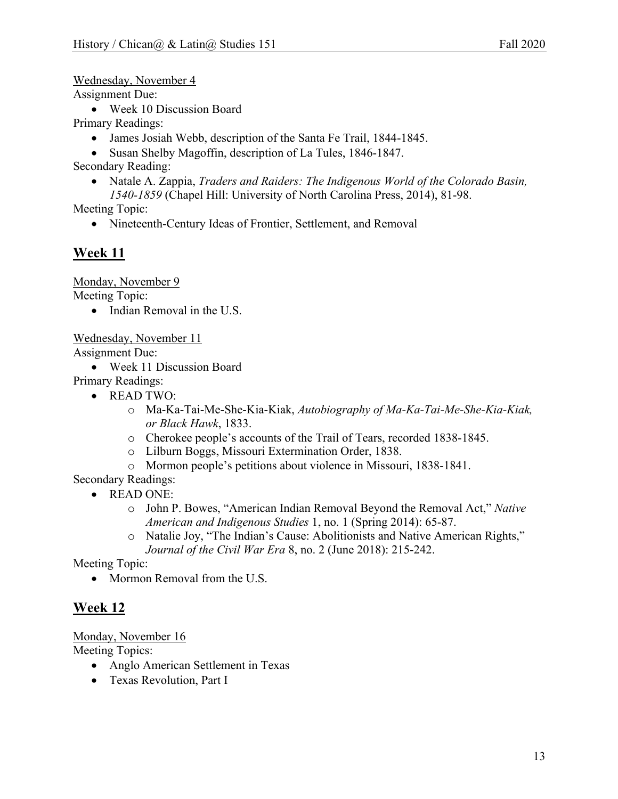Wednesday, November 4

Assignment Due:

• Week 10 Discussion Board

Primary Readings:

- James Josiah Webb, description of the Santa Fe Trail, 1844-1845.
- Susan Shelby Magoffin, description of La Tules, 1846-1847.

Secondary Reading:

• Natale A. Zappia, *Traders and Raiders: The Indigenous World of the Colorado Basin, 1540-1859* (Chapel Hill: University of North Carolina Press, 2014), 81-98.

Meeting Topic:

• Nineteenth-Century Ideas of Frontier, Settlement, and Removal

## **Week 11**

Monday, November 9 Meeting Topic:

• Indian Removal in the U.S.

Wednesday, November 11

Assignment Due:

• Week 11 Discussion Board

Primary Readings:

- READ TWO:
	- o Ma-Ka-Tai-Me-She-Kia-Kiak, *Autobiography of Ma-Ka-Tai-Me-She-Kia-Kiak, or Black Hawk*, 1833.
	- o Cherokee people's accounts of the Trail of Tears, recorded 1838-1845.
	- o Lilburn Boggs, Missouri Extermination Order, 1838.
	- o Mormon people's petitions about violence in Missouri, 1838-1841.

Secondary Readings:

- READ ONE:
	- o John P. Bowes, "American Indian Removal Beyond the Removal Act," *Native American and Indigenous Studies* 1, no. 1 (Spring 2014): 65-87.
	- o Natalie Joy, "The Indian's Cause: Abolitionists and Native American Rights," *Journal of the Civil War Era* 8, no. 2 (June 2018): 215-242.

Meeting Topic:

• Mormon Removal from the U.S.

# **Week 12**

Monday, November 16

Meeting Topics:

- Anglo American Settlement in Texas
- Texas Revolution, Part I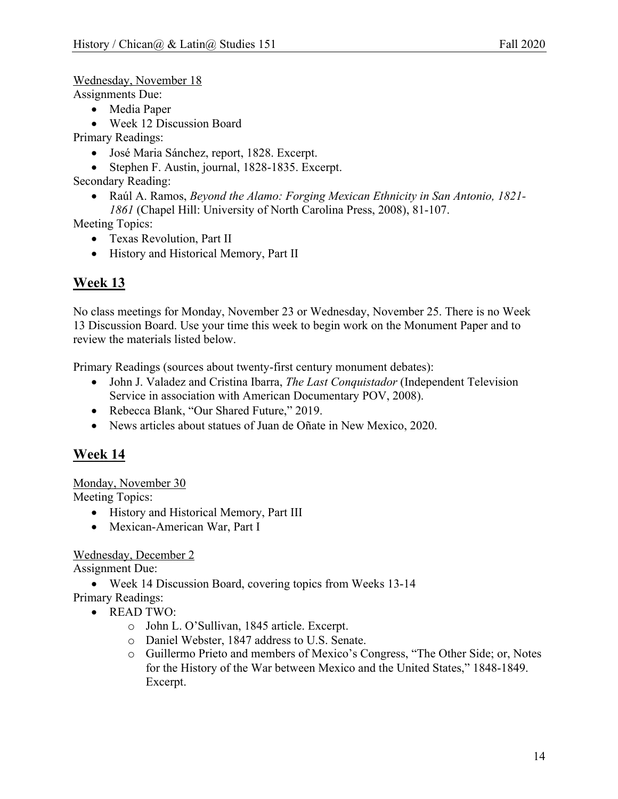Wednesday, November 18

Assignments Due:

- Media Paper
- Week 12 Discussion Board

Primary Readings:

- José Maria Sánchez, report, 1828. Excerpt.
- Stephen F. Austin, journal, 1828-1835. Excerpt.

Secondary Reading:

• Raúl A. Ramos, *Beyond the Alamo: Forging Mexican Ethnicity in San Antonio, 1821- 1861* (Chapel Hill: University of North Carolina Press, 2008), 81-107.

Meeting Topics:

- Texas Revolution, Part II
- History and Historical Memory, Part II

# **Week 13**

No class meetings for Monday, November 23 or Wednesday, November 25. There is no Week 13 Discussion Board. Use your time this week to begin work on the Monument Paper and to review the materials listed below.

Primary Readings (sources about twenty-first century monument debates):

- John J. Valadez and Cristina Ibarra, *The Last Conquistador* (Independent Television Service in association with American Documentary POV, 2008).
- Rebecca Blank, "Our Shared Future," 2019.
- News articles about statues of Juan de Oñate in New Mexico, 2020.

### **Week 14**

Monday, November 30

Meeting Topics:

- History and Historical Memory, Part III
- Mexican-American War, Part I

### Wednesday, December 2

Assignment Due:

• Week 14 Discussion Board, covering topics from Weeks 13-14

Primary Readings:

- READ TWO:
	- o John L. O'Sullivan, 1845 article. Excerpt.
	- o Daniel Webster, 1847 address to U.S. Senate.
	- o Guillermo Prieto and members of Mexico's Congress, "The Other Side; or, Notes for the History of the War between Mexico and the United States," 1848-1849. Excerpt.